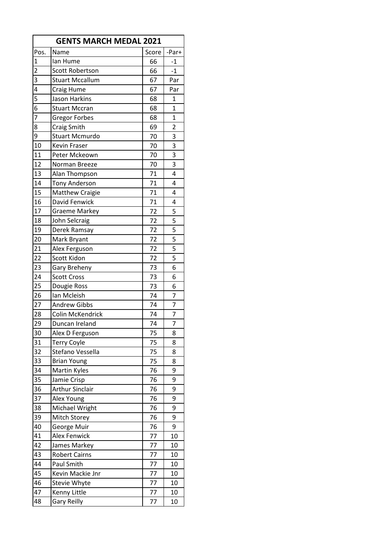| <b>GENTS MARCH MEDAL 2021</b> |                        |       |                |  |
|-------------------------------|------------------------|-------|----------------|--|
| Pos.                          | Name                   | Score | -Par+          |  |
| $\mathbf{1}$                  | lan Hume               | 66    | $-1$           |  |
| $\overline{2}$                | Scott Robertson        | 66    | $-1$           |  |
| 3                             | <b>Stuart Mccallum</b> | 67    | Par            |  |
| 4                             | Craig Hume             | 67    | Par            |  |
| 5                             | Jason Harkins          | 68    | $\mathbf{1}$   |  |
| 6                             | <b>Stuart Mccran</b>   | 68    | 1              |  |
| $\overline{7}$                | <b>Gregor Forbes</b>   | 68    | $\overline{1}$ |  |
| 8                             | Craig Smith            | 69    | $\overline{2}$ |  |
| 9                             | <b>Stuart Mcmurdo</b>  | 70    | 3              |  |
| 10                            | <b>Kevin Fraser</b>    | 70    | 3              |  |
| 11                            | Peter Mckeown          | 70    | 3              |  |
| 12                            | Norman Breeze          | 70    | 3              |  |
| 13                            | Alan Thompson          | 71    | 4              |  |
| 14                            | <b>Tony Anderson</b>   | 71    | 4              |  |
| 15                            | <b>Matthew Craigie</b> | 71    | 4              |  |
| 16                            | David Fenwick          | 71    | 4              |  |
| 17                            | Graeme Markey          | 72    | 5              |  |
| 18                            | John Selcraig          | 72    | 5              |  |
| 19                            | Derek Ramsay           | 72    | 5              |  |
| 20                            | Mark Bryant            | 72    | 5              |  |
| 21                            | Alex Ferguson          | 72    | 5              |  |
| 22                            | Scott Kidon            | 72    | 5              |  |
| 23                            | Gary Breheny           | 73    | 6              |  |
| 24                            | <b>Scott Cross</b>     | 73    | 6              |  |
| 25                            | Dougie Ross            | 73    | 6              |  |
| 26                            | Ian Mcleish            | 74    | $\overline{7}$ |  |
| 27                            | <b>Andrew Gibbs</b>    | 74    | $\overline{7}$ |  |
| 28                            | Colin McKendrick       | 74    | $\overline{7}$ |  |
| 29                            | Duncan Ireland         | 74    | $\overline{7}$ |  |
| 30                            | Alex D Ferguson        | 75    | 8              |  |
| 31                            | <b>Terry Coyle</b>     | 75    | 8              |  |
| 32                            | Stefano Vessella       | 75    | 8              |  |
| 33                            | <b>Brian Young</b>     | 75    | 8              |  |
| 34                            | Martin Kyles           | 76    | 9              |  |
| 35                            | Jamie Crisp            | 76    | 9              |  |
| 36                            | Arthur Sinclair        | 76    | 9              |  |
| 37                            | Alex Young             | 76    | 9              |  |
| 38                            | Michael Wright         | 76    | 9              |  |
| 39                            | Mitch Storey           | 76    | 9              |  |
| 40                            | George Muir            | 76    | 9              |  |
| 41                            | <b>Alex Fenwick</b>    | 77    | 10             |  |
| 42                            | James Markey           | 77    | 10             |  |
| 43                            | <b>Robert Cairns</b>   | 77    | 10             |  |
| 44                            | Paul Smith             | 77    | 10             |  |
| 45                            | Kevin Mackie Jnr       | 77    | 10             |  |
| 46                            | Stevie Whyte           | 77    | 10             |  |
| 47                            | Kenny Little           | 77    | 10             |  |
| 48                            | <b>Gary Reilly</b>     | 77    | 10             |  |